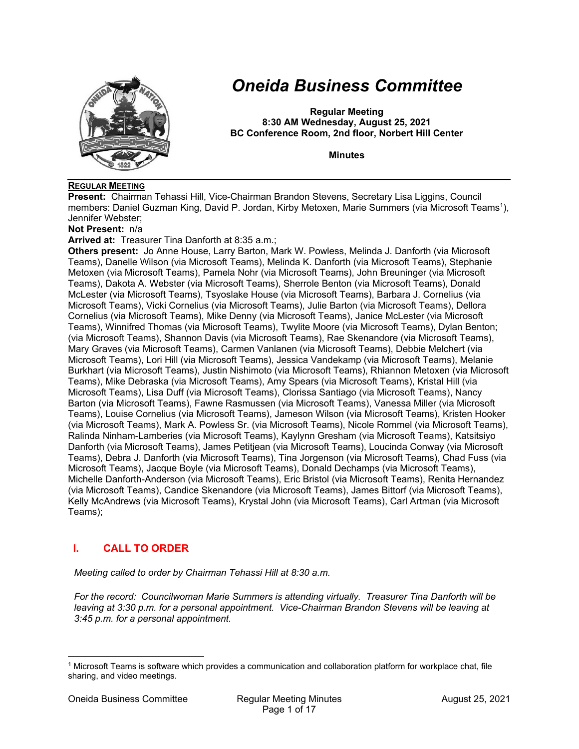

# *Oneida Business Committee*

**Regular Meeting 8:30 AM Wednesday, August 25, 2021 BC Conference Room, 2nd floor, Norbert Hill Center** 

**Minutes** 

#### **REGULAR MEETING**

**Present:** Chairman Tehassi Hill, Vice-Chairman Brandon Stevens, Secretary Lisa Liggins, Council members: Daniel Guzman King, David P. Jordan, Kirby Metoxen, Marie Summers (via Microsoft Teams1), Jennifer Webster;

**Not Present:** n/a

**Arrived at:** Treasurer Tina Danforth at 8:35 a.m.;

**Others present:** Jo Anne House, Larry Barton, Mark W. Powless, Melinda J. Danforth (via Microsoft Teams), Danelle Wilson (via Microsoft Teams), Melinda K. Danforth (via Microsoft Teams), Stephanie Metoxen (via Microsoft Teams), Pamela Nohr (via Microsoft Teams), John Breuninger (via Microsoft Teams), Dakota A. Webster (via Microsoft Teams), Sherrole Benton (via Microsoft Teams), Donald McLester (via Microsoft Teams), Tsyoslake House (via Microsoft Teams), Barbara J. Cornelius (via Microsoft Teams), Vicki Cornelius (via Microsoft Teams), Julie Barton (via Microsoft Teams), Dellora Cornelius (via Microsoft Teams), Mike Denny (via Microsoft Teams), Janice McLester (via Microsoft Teams), Winnifred Thomas (via Microsoft Teams), Twylite Moore (via Microsoft Teams), Dylan Benton; (via Microsoft Teams), Shannon Davis (via Microsoft Teams), Rae Skenandore (via Microsoft Teams), Mary Graves (via Microsoft Teams), Carmen Vanlanen (via Microsoft Teams), Debbie Melchert (via Microsoft Teams), Lori Hill (via Microsoft Teams), Jessica Vandekamp (via Microsoft Teams), Melanie Burkhart (via Microsoft Teams), Justin Nishimoto (via Microsoft Teams), Rhiannon Metoxen (via Microsoft Teams), Mike Debraska (via Microsoft Teams), Amy Spears (via Microsoft Teams), Kristal Hill (via Microsoft Teams), Lisa Duff (via Microsoft Teams), Clorissa Santiago (via Microsoft Teams), Nancy Barton (via Microsoft Teams), Fawne Rasmussen (via Microsoft Teams), Vanessa Miller (via Microsoft Teams), Louise Cornelius (via Microsoft Teams), Jameson Wilson (via Microsoft Teams), Kristen Hooker (via Microsoft Teams), Mark A. Powless Sr. (via Microsoft Teams), Nicole Rommel (via Microsoft Teams), Ralinda Ninham-Lamberies (via Microsoft Teams), Kaylynn Gresham (via Microsoft Teams), Katsitsiyo Danforth (via Microsoft Teams), James Petitjean (via Microsoft Teams), Loucinda Conway (via Microsoft Teams), Debra J. Danforth (via Microsoft Teams), Tina Jorgenson (via Microsoft Teams), Chad Fuss (via Microsoft Teams), Jacque Boyle (via Microsoft Teams), Donald Dechamps (via Microsoft Teams), Michelle Danforth-Anderson (via Microsoft Teams), Eric Bristol (via Microsoft Teams), Renita Hernandez (via Microsoft Teams), Candice Skenandore (via Microsoft Teams), James Bittorf (via Microsoft Teams), Kelly McAndrews (via Microsoft Teams), Krystal John (via Microsoft Teams), Carl Artman (via Microsoft Teams);

# **I. CALL TO ORDER**

*Meeting called to order by Chairman Tehassi Hill at 8:30 a.m.* 

*For the record: Councilwoman Marie Summers is attending virtually. Treasurer Tina Danforth will be leaving at 3:30 p.m. for a personal appointment. Vice-Chairman Brandon Stevens will be leaving at 3:45 p.m. for a personal appointment.* 

<sup>1</sup> Microsoft Teams is software which provides a communication and collaboration platform for workplace chat, file sharing, and video meetings.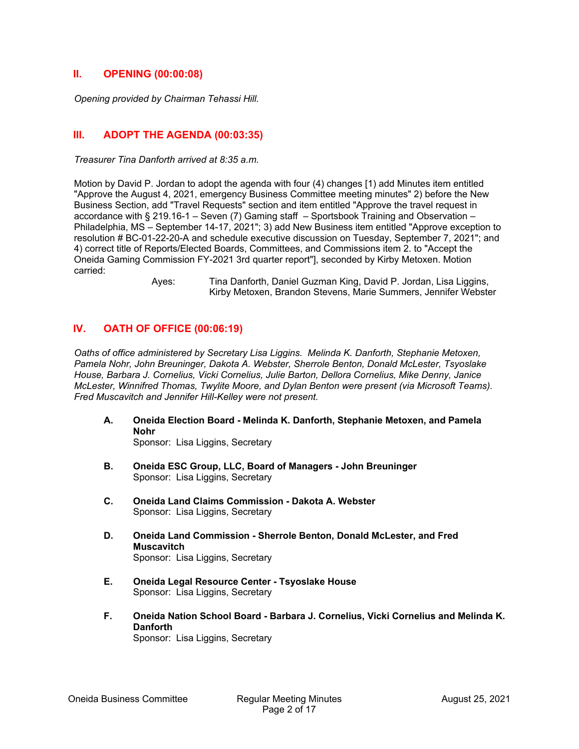#### **II. OPENING (00:00:08)**

*Opening provided by Chairman Tehassi Hill.* 

# **III. ADOPT THE AGENDA (00:03:35)**

*Treasurer Tina Danforth arrived at 8:35 a.m.* 

Motion by David P. Jordan to adopt the agenda with four (4) changes [1) add Minutes item entitled "Approve the August 4, 2021, emergency Business Committee meeting minutes" 2) before the New Business Section, add "Travel Requests" section and item entitled "Approve the travel request in accordance with § 219.16-1 – Seven (7) Gaming staff – Sportsbook Training and Observation – Philadelphia, MS – September 14-17, 2021"; 3) add New Business item entitled "Approve exception to resolution # BC-01-22-20-A and schedule executive discussion on Tuesday, September 7, 2021"; and 4) correct title of Reports/Elected Boards, Committees, and Commissions item 2. to "Accept the Oneida Gaming Commission FY-2021 3rd quarter report"], seconded by Kirby Metoxen. Motion carried:

 Ayes: Tina Danforth, Daniel Guzman King, David P. Jordan, Lisa Liggins, Kirby Metoxen, Brandon Stevens, Marie Summers, Jennifer Webster

# **IV. OATH OF OFFICE (00:06:19)**

*Oaths of office administered by Secretary Lisa Liggins. Melinda K. Danforth, Stephanie Metoxen, Pamela Nohr, John Breuninger, Dakota A. Webster, Sherrole Benton, Donald McLester, Tsyoslake House, Barbara J. Cornelius, Vicki Cornelius, Julie Barton, Dellora Cornelius, Mike Denny, Janice McLester, Winnifred Thomas, Twylite Moore, and Dylan Benton were present (via Microsoft Teams). Fred Muscavitch and Jennifer Hill-Kelley were not present.* 

**A. Oneida Election Board - Melinda K. Danforth, Stephanie Metoxen, and Pamela Nohr** 

Sponsor: Lisa Liggins, Secretary

- **B. Oneida ESC Group, LLC, Board of Managers John Breuninger**  Sponsor: Lisa Liggins, Secretary
- **C. Oneida Land Claims Commission Dakota A. Webster**  Sponsor: Lisa Liggins, Secretary
- **D. Oneida Land Commission Sherrole Benton, Donald McLester, and Fred Muscavitch**  Sponsor: Lisa Liggins, Secretary
- **E. Oneida Legal Resource Center Tsyoslake House**  Sponsor: Lisa Liggins, Secretary
- **F. Oneida Nation School Board Barbara J. Cornelius, Vicki Cornelius and Melinda K. Danforth**

Sponsor: Lisa Liggins, Secretary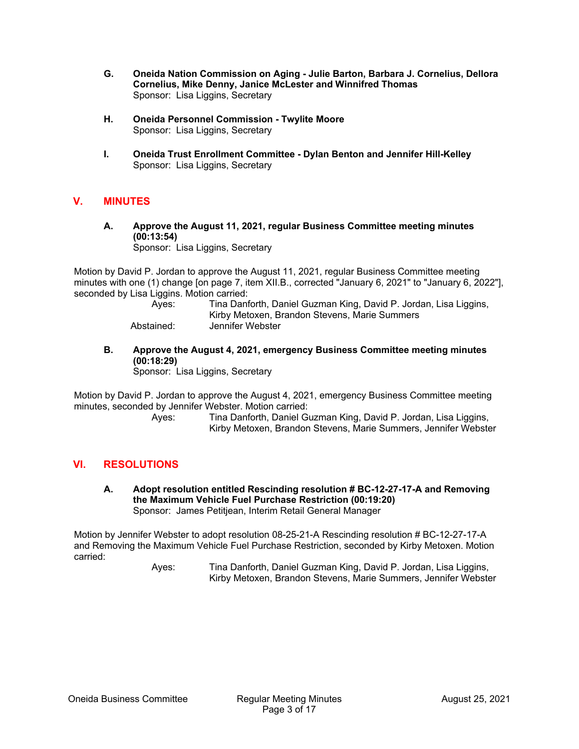- **G. Oneida Nation Commission on Aging Julie Barton, Barbara J. Cornelius, Dellora Cornelius, Mike Denny, Janice McLester and Winnifred Thomas**  Sponsor: Lisa Liggins, Secretary
- **H. Oneida Personnel Commission Twylite Moore**  Sponsor: Lisa Liggins, Secretary
- **I. Oneida Trust Enrollment Committee Dylan Benton and Jennifer Hill-Kelley**  Sponsor: Lisa Liggins, Secretary

# **V. MINUTES**

**A. Approve the August 11, 2021, regular Business Committee meeting minutes (00:13:54)** 

Sponsor: Lisa Liggins, Secretary

Motion by David P. Jordan to approve the August 11, 2021, regular Business Committee meeting minutes with one (1) change [on page 7, item XII.B., corrected "January 6, 2021" to "January 6, 2022"], seconded by Lisa Liggins. Motion carried:

> Ayes: Tina Danforth, Daniel Guzman King, David P. Jordan, Lisa Liggins, Kirby Metoxen, Brandon Stevens, Marie Summers Abstained: Jennifer Webster

**B. Approve the August 4, 2021, emergency Business Committee meeting minutes (00:18:29)** 

Sponsor: Lisa Liggins, Secretary

Motion by David P. Jordan to approve the August 4, 2021, emergency Business Committee meeting minutes, seconded by Jennifer Webster. Motion carried:

 Ayes: Tina Danforth, Daniel Guzman King, David P. Jordan, Lisa Liggins, Kirby Metoxen, Brandon Stevens, Marie Summers, Jennifer Webster

#### **VI. RESOLUTIONS**

**A. Adopt resolution entitled Rescinding resolution # BC-12-27-17-A and Removing the Maximum Vehicle Fuel Purchase Restriction (00:19:20)**  Sponsor: James Petitjean, Interim Retail General Manager

Motion by Jennifer Webster to adopt resolution 08-25-21-A Rescinding resolution # BC-12-27-17-A and Removing the Maximum Vehicle Fuel Purchase Restriction, seconded by Kirby Metoxen. Motion carried: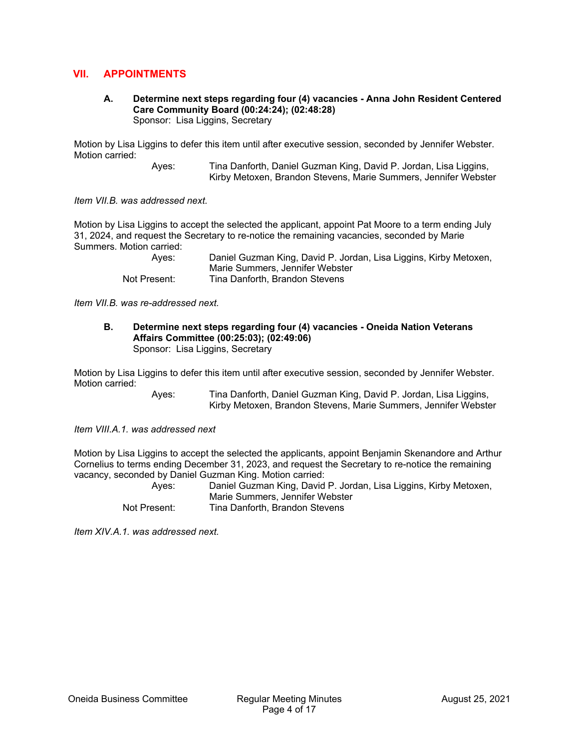# **VII. APPOINTMENTS**

**A. Determine next steps regarding four (4) vacancies - Anna John Resident Centered Care Community Board (00:24:24); (02:48:28)**  Sponsor: Lisa Liggins, Secretary

Motion by Lisa Liggins to defer this item until after executive session, seconded by Jennifer Webster. Motion carried:

> Ayes: Tina Danforth, Daniel Guzman King, David P. Jordan, Lisa Liggins, Kirby Metoxen, Brandon Stevens, Marie Summers, Jennifer Webster

*Item VII.B. was addressed next.* 

Motion by Lisa Liggins to accept the selected the applicant, appoint Pat Moore to a term ending July 31, 2024, and request the Secretary to re-notice the remaining vacancies, seconded by Marie Summers. Motion carried:

 Ayes: Daniel Guzman King, David P. Jordan, Lisa Liggins, Kirby Metoxen, Marie Summers, Jennifer Webster Not Present: Tina Danforth, Brandon Stevens

*Item VII.B. was re-addressed next.* 

**B. Determine next steps regarding four (4) vacancies - Oneida Nation Veterans Affairs Committee (00:25:03); (02:49:06)**  Sponsor: Lisa Liggins, Secretary

Motion by Lisa Liggins to defer this item until after executive session, seconded by Jennifer Webster. Motion carried:

> Ayes: Tina Danforth, Daniel Guzman King, David P. Jordan, Lisa Liggins, Kirby Metoxen, Brandon Stevens, Marie Summers, Jennifer Webster

*Item VIII.A.1. was addressed next* 

Motion by Lisa Liggins to accept the selected the applicants, appoint Benjamin Skenandore and Arthur Cornelius to terms ending December 31, 2023, and request the Secretary to re-notice the remaining vacancy, seconded by Daniel Guzman King. Motion carried:

| Aves:        | Daniel Guzman King, David P. Jordan, Lisa Liggins, Kirby Metoxen, |
|--------------|-------------------------------------------------------------------|
|              | Marie Summers, Jennifer Webster                                   |
| Not Present: | Tina Danforth, Brandon Stevens                                    |

*Item XIV.A.1. was addressed next.*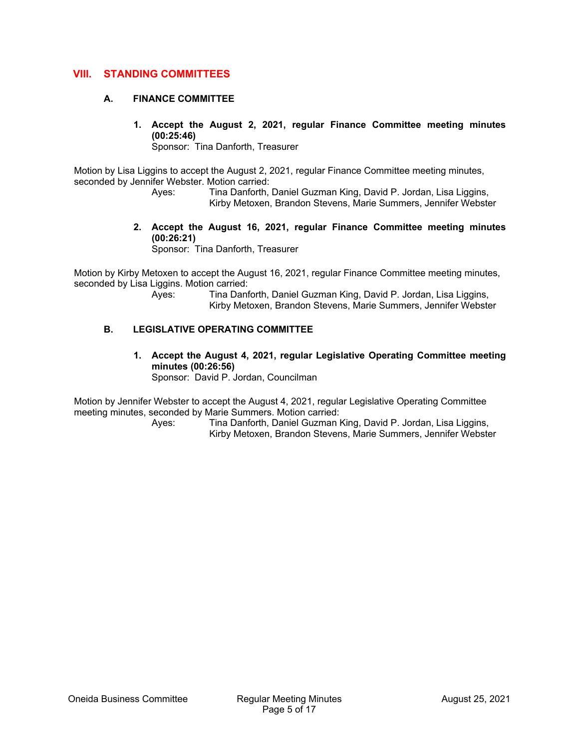# **VIII. STANDING COMMITTEES**

#### **A. FINANCE COMMITTEE**

**1. Accept the August 2, 2021, regular Finance Committee meeting minutes (00:25:46)** 

Sponsor: Tina Danforth, Treasurer

Motion by Lisa Liggins to accept the August 2, 2021, regular Finance Committee meeting minutes, seconded by Jennifer Webster. Motion carried:

 Ayes: Tina Danforth, Daniel Guzman King, David P. Jordan, Lisa Liggins, Kirby Metoxen, Brandon Stevens, Marie Summers, Jennifer Webster

**2. Accept the August 16, 2021, regular Finance Committee meeting minutes (00:26:21)** 

Sponsor: Tina Danforth, Treasurer

Motion by Kirby Metoxen to accept the August 16, 2021, regular Finance Committee meeting minutes, seconded by Lisa Liggins. Motion carried:

 Ayes: Tina Danforth, Daniel Guzman King, David P. Jordan, Lisa Liggins, Kirby Metoxen, Brandon Stevens, Marie Summers, Jennifer Webster

#### **B. LEGISLATIVE OPERATING COMMITTEE**

**1. Accept the August 4, 2021, regular Legislative Operating Committee meeting minutes (00:26:56)**  Sponsor: David P. Jordan, Councilman

Motion by Jennifer Webster to accept the August 4, 2021, regular Legislative Operating Committee meeting minutes, seconded by Marie Summers. Motion carried: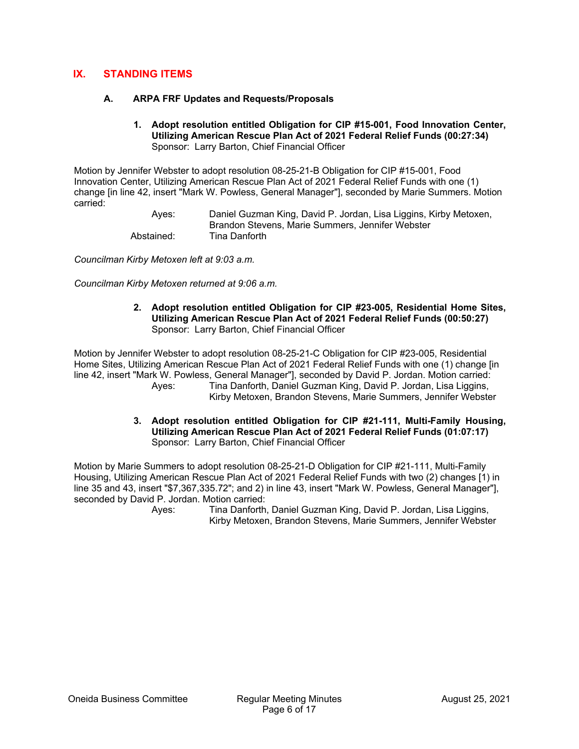# **IX. STANDING ITEMS**

#### **A. ARPA FRF Updates and Requests/Proposals**

**1. Adopt resolution entitled Obligation for CIP #15-001, Food Innovation Center, Utilizing American Rescue Plan Act of 2021 Federal Relief Funds (00:27:34)**  Sponsor: Larry Barton, Chief Financial Officer

Motion by Jennifer Webster to adopt resolution 08-25-21-B Obligation for CIP #15-001, Food Innovation Center, Utilizing American Rescue Plan Act of 2021 Federal Relief Funds with one (1) change [in line 42, insert "Mark W. Powless, General Manager"], seconded by Marie Summers. Motion carried:

 Ayes: Daniel Guzman King, David P. Jordan, Lisa Liggins, Kirby Metoxen, Brandon Stevens, Marie Summers, Jennifer Webster Abstained: Tina Danforth

*Councilman Kirby Metoxen left at 9:03 a.m.* 

*Councilman Kirby Metoxen returned at 9:06 a.m.* 

**2. Adopt resolution entitled Obligation for CIP #23-005, Residential Home Sites, Utilizing American Rescue Plan Act of 2021 Federal Relief Funds (00:50:27)**  Sponsor: Larry Barton, Chief Financial Officer

Motion by Jennifer Webster to adopt resolution 08-25-21-C Obligation for CIP #23-005, Residential Home Sites, Utilizing American Rescue Plan Act of 2021 Federal Relief Funds with one (1) change [in line 42, insert "Mark W. Powless, General Manager"], seconded by David P. Jordan. Motion carried: Ayes: Tina Danforth, Daniel Guzman King, David P. Jordan, Lisa Liggins, Kirby Metoxen, Brandon Stevens, Marie Summers, Jennifer Webster

> **3. Adopt resolution entitled Obligation for CIP #21-111, Multi-Family Housing, Utilizing American Rescue Plan Act of 2021 Federal Relief Funds (01:07:17)**  Sponsor: Larry Barton, Chief Financial Officer

Motion by Marie Summers to adopt resolution 08-25-21-D Obligation for CIP #21-111, Multi-Family Housing, Utilizing American Rescue Plan Act of 2021 Federal Relief Funds with two (2) changes [1) in line 35 and 43, insert "\$7,367,335.72"; and 2) in line 43, insert "Mark W. Powless, General Manager"], seconded by David P. Jordan. Motion carried: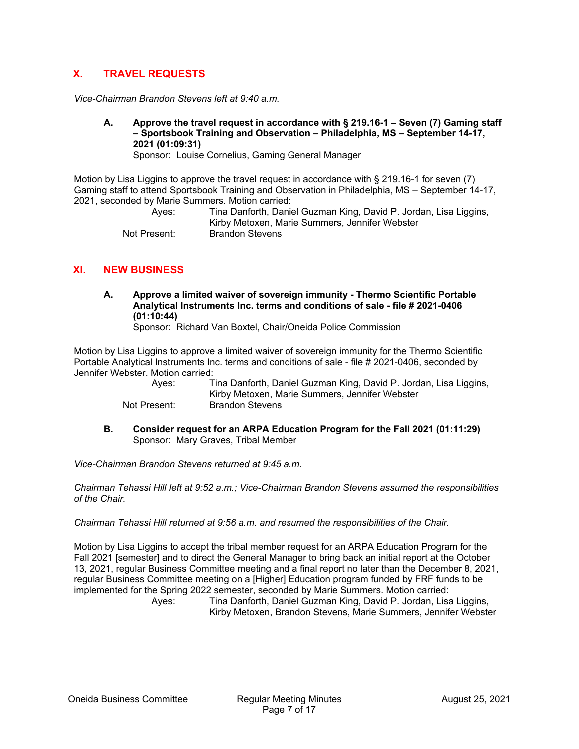# **X. TRAVEL REQUESTS**

*Vice-Chairman Brandon Stevens left at 9:40 a.m.* 

**A. Approve the travel request in accordance with § 219.16-1 – Seven (7) Gaming staff – Sportsbook Training and Observation – Philadelphia, MS – September 14-17, 2021 (01:09:31)** 

Sponsor: Louise Cornelius, Gaming General Manager

Motion by Lisa Liggins to approve the travel request in accordance with § 219.16-1 for seven (7) Gaming staff to attend Sportsbook Training and Observation in Philadelphia, MS – September 14-17, 2021, seconded by Marie Summers. Motion carried:

 Ayes: Tina Danforth, Daniel Guzman King, David P. Jordan, Lisa Liggins, Kirby Metoxen, Marie Summers, Jennifer Webster Not Present: Brandon Stevens

# **XI. NEW BUSINESS**

**A. Approve a limited waiver of sovereign immunity - Thermo Scientific Portable Analytical Instruments Inc. terms and conditions of sale - file # 2021-0406 (01:10:44)** 

Sponsor: Richard Van Boxtel, Chair/Oneida Police Commission

Motion by Lisa Liggins to approve a limited waiver of sovereign immunity for the Thermo Scientific Portable Analytical Instruments Inc. terms and conditions of sale - file # 2021-0406, seconded by Jennifer Webster. Motion carried:

| Ayes:        | Tina Danforth, Daniel Guzman King, David P. Jordan, Lisa Liggins, |
|--------------|-------------------------------------------------------------------|
|              | Kirby Metoxen, Marie Summers, Jennifer Webster                    |
| Not Present: | Brandon Stevens                                                   |

**B. Consider request for an ARPA Education Program for the Fall 2021 (01:11:29)**  Sponsor: Mary Graves, Tribal Member

*Vice-Chairman Brandon Stevens returned at 9:45 a.m.* 

*Chairman Tehassi Hill left at 9:52 a.m.; Vice-Chairman Brandon Stevens assumed the responsibilities of the Chair.* 

*Chairman Tehassi Hill returned at 9:56 a.m. and resumed the responsibilities of the Chair.* 

Motion by Lisa Liggins to accept the tribal member request for an ARPA Education Program for the Fall 2021 [semester] and to direct the General Manager to bring back an initial report at the October 13, 2021, regular Business Committee meeting and a final report no later than the December 8, 2021, regular Business Committee meeting on a [Higher] Education program funded by FRF funds to be implemented for the Spring 2022 semester, seconded by Marie Summers. Motion carried: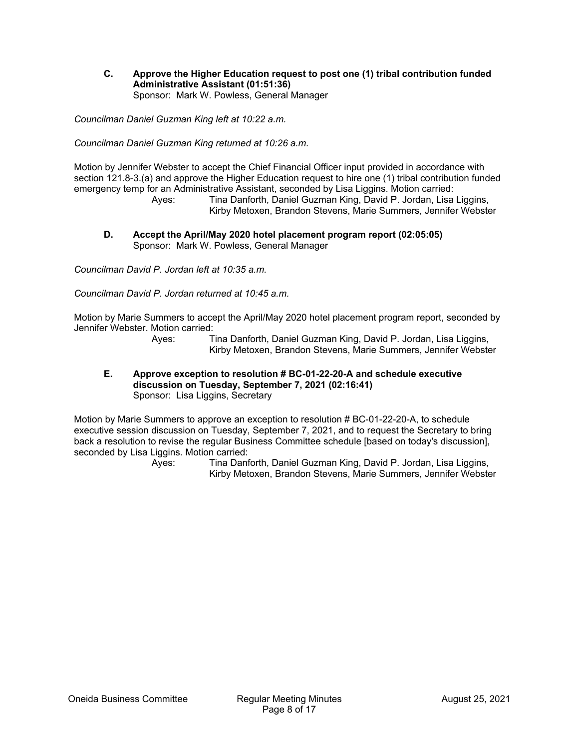**C. Approve the Higher Education request to post one (1) tribal contribution funded Administrative Assistant (01:51:36)**  Sponsor: Mark W. Powless, General Manager

*Councilman Daniel Guzman King left at 10:22 a.m.* 

*Councilman Daniel Guzman King returned at 10:26 a.m.* 

Motion by Jennifer Webster to accept the Chief Financial Officer input provided in accordance with section 121.8-3.(a) and approve the Higher Education request to hire one (1) tribal contribution funded emergency temp for an Administrative Assistant, seconded by Lisa Liggins. Motion carried:

 Ayes: Tina Danforth, Daniel Guzman King, David P. Jordan, Lisa Liggins, Kirby Metoxen, Brandon Stevens, Marie Summers, Jennifer Webster

**D. Accept the April/May 2020 hotel placement program report (02:05:05)**  Sponsor: Mark W. Powless, General Manager

*Councilman David P. Jordan left at 10:35 a.m.* 

*Councilman David P. Jordan returned at 10:45 a.m.* 

Motion by Marie Summers to accept the April/May 2020 hotel placement program report, seconded by Jennifer Webster. Motion carried:

> Ayes: Tina Danforth, Daniel Guzman King, David P. Jordan, Lisa Liggins, Kirby Metoxen, Brandon Stevens, Marie Summers, Jennifer Webster

**E. Approve exception to resolution # BC-01-22-20-A and schedule executive discussion on Tuesday, September 7, 2021 (02:16:41)**  Sponsor: Lisa Liggins, Secretary

Motion by Marie Summers to approve an exception to resolution # BC-01-22-20-A, to schedule executive session discussion on Tuesday, September 7, 2021, and to request the Secretary to bring back a resolution to revise the regular Business Committee schedule [based on today's discussion], seconded by Lisa Liggins. Motion carried: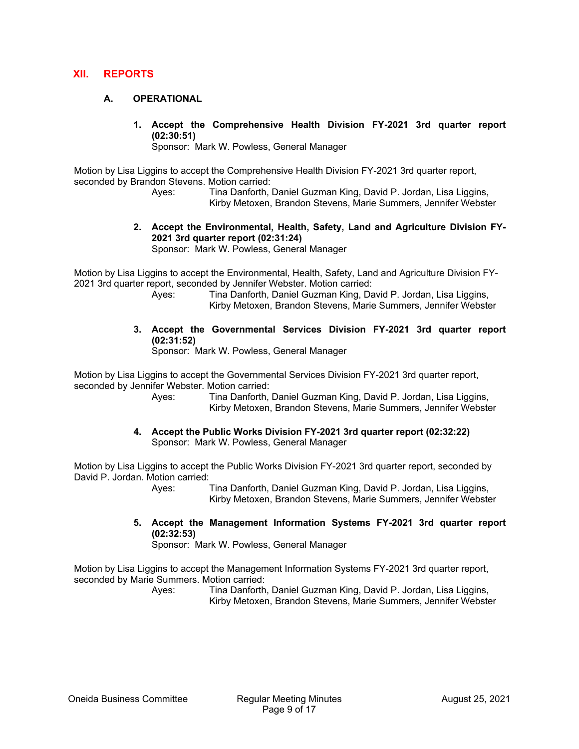#### **XII. REPORTS**

#### **A. OPERATIONAL**

**1. Accept the Comprehensive Health Division FY-2021 3rd quarter report (02:30:51)** 

Sponsor: Mark W. Powless, General Manager

Motion by Lisa Liggins to accept the Comprehensive Health Division FY-2021 3rd quarter report, seconded by Brandon Stevens. Motion carried:

 Ayes: Tina Danforth, Daniel Guzman King, David P. Jordan, Lisa Liggins, Kirby Metoxen, Brandon Stevens, Marie Summers, Jennifer Webster

**2. Accept the Environmental, Health, Safety, Land and Agriculture Division FY-2021 3rd quarter report (02:31:24)** 

Sponsor: Mark W. Powless, General Manager

Motion by Lisa Liggins to accept the Environmental, Health, Safety, Land and Agriculture Division FY-2021 3rd quarter report, seconded by Jennifer Webster. Motion carried:

- Ayes: Tina Danforth, Daniel Guzman King, David P. Jordan, Lisa Liggins, Kirby Metoxen, Brandon Stevens, Marie Summers, Jennifer Webster
- **3. Accept the Governmental Services Division FY-2021 3rd quarter report (02:31:52)**

Sponsor: Mark W. Powless, General Manager

Motion by Lisa Liggins to accept the Governmental Services Division FY-2021 3rd quarter report, seconded by Jennifer Webster. Motion carried:

 Ayes: Tina Danforth, Daniel Guzman King, David P. Jordan, Lisa Liggins, Kirby Metoxen, Brandon Stevens, Marie Summers, Jennifer Webster

**4. Accept the Public Works Division FY-2021 3rd quarter report (02:32:22)**  Sponsor: Mark W. Powless, General Manager

Motion by Lisa Liggins to accept the Public Works Division FY-2021 3rd quarter report, seconded by David P. Jordan. Motion carried:

> Ayes: Tina Danforth, Daniel Guzman King, David P. Jordan, Lisa Liggins, Kirby Metoxen, Brandon Stevens, Marie Summers, Jennifer Webster

**5. Accept the Management Information Systems FY-2021 3rd quarter report (02:32:53)** 

Sponsor: Mark W. Powless, General Manager

Motion by Lisa Liggins to accept the Management Information Systems FY-2021 3rd quarter report, seconded by Marie Summers. Motion carried: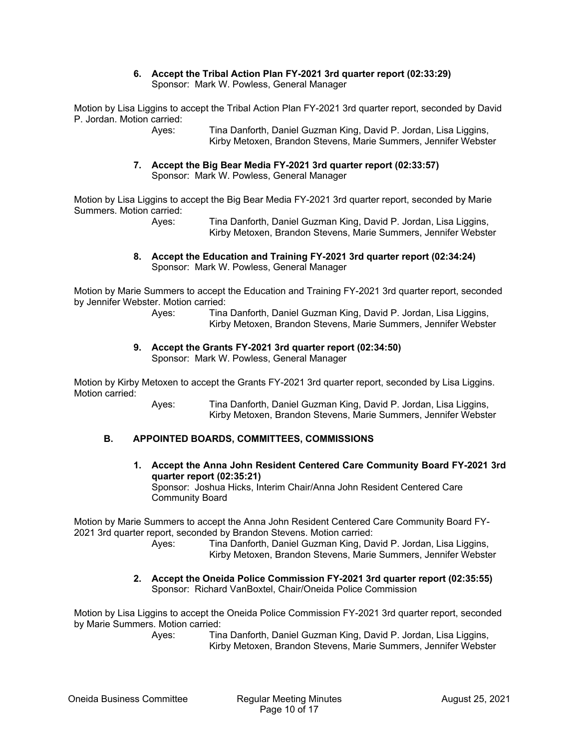#### **6. Accept the Tribal Action Plan FY-2021 3rd quarter report (02:33:29)**  Sponsor: Mark W. Powless, General Manager

Motion by Lisa Liggins to accept the Tribal Action Plan FY-2021 3rd quarter report, seconded by David P. Jordan. Motion carried:

> Ayes: Tina Danforth, Daniel Guzman King, David P. Jordan, Lisa Liggins, Kirby Metoxen, Brandon Stevens, Marie Summers, Jennifer Webster

**7. Accept the Big Bear Media FY-2021 3rd quarter report (02:33:57)**  Sponsor: Mark W. Powless, General Manager

Motion by Lisa Liggins to accept the Big Bear Media FY-2021 3rd quarter report, seconded by Marie Summers. Motion carried:

 Ayes: Tina Danforth, Daniel Guzman King, David P. Jordan, Lisa Liggins, Kirby Metoxen, Brandon Stevens, Marie Summers, Jennifer Webster

**8. Accept the Education and Training FY-2021 3rd quarter report (02:34:24)**  Sponsor: Mark W. Powless, General Manager

Motion by Marie Summers to accept the Education and Training FY-2021 3rd quarter report, seconded by Jennifer Webster. Motion carried:

 Ayes: Tina Danforth, Daniel Guzman King, David P. Jordan, Lisa Liggins, Kirby Metoxen, Brandon Stevens, Marie Summers, Jennifer Webster

**9. Accept the Grants FY-2021 3rd quarter report (02:34:50)**  Sponsor: Mark W. Powless, General Manager

Motion by Kirby Metoxen to accept the Grants FY-2021 3rd quarter report, seconded by Lisa Liggins. Motion carried:

 Ayes: Tina Danforth, Daniel Guzman King, David P. Jordan, Lisa Liggins, Kirby Metoxen, Brandon Stevens, Marie Summers, Jennifer Webster

#### **B. APPOINTED BOARDS, COMMITTEES, COMMISSIONS**

**1. Accept the Anna John Resident Centered Care Community Board FY-2021 3rd quarter report (02:35:21)**  Sponsor: Joshua Hicks, Interim Chair/Anna John Resident Centered Care Community Board

Motion by Marie Summers to accept the Anna John Resident Centered Care Community Board FY-2021 3rd quarter report, seconded by Brandon Stevens. Motion carried:

 Ayes: Tina Danforth, Daniel Guzman King, David P. Jordan, Lisa Liggins, Kirby Metoxen, Brandon Stevens, Marie Summers, Jennifer Webster

#### **2. Accept the Oneida Police Commission FY-2021 3rd quarter report (02:35:55)**  Sponsor: Richard VanBoxtel, Chair/Oneida Police Commission

Motion by Lisa Liggins to accept the Oneida Police Commission FY-2021 3rd quarter report, seconded by Marie Summers. Motion carried: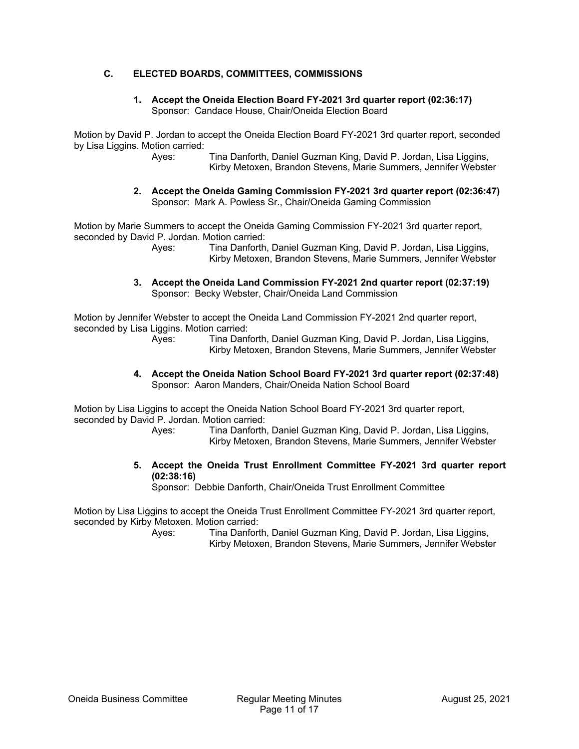#### **C. ELECTED BOARDS, COMMITTEES, COMMISSIONS**

#### **1. Accept the Oneida Election Board FY-2021 3rd quarter report (02:36:17)**  Sponsor: Candace House, Chair/Oneida Election Board

Motion by David P. Jordan to accept the Oneida Election Board FY-2021 3rd quarter report, seconded by Lisa Liggins. Motion carried:

 Ayes: Tina Danforth, Daniel Guzman King, David P. Jordan, Lisa Liggins, Kirby Metoxen, Brandon Stevens, Marie Summers, Jennifer Webster

**2. Accept the Oneida Gaming Commission FY-2021 3rd quarter report (02:36:47)**  Sponsor: Mark A. Powless Sr., Chair/Oneida Gaming Commission

Motion by Marie Summers to accept the Oneida Gaming Commission FY-2021 3rd quarter report, seconded by David P. Jordan. Motion carried:

 Ayes: Tina Danforth, Daniel Guzman King, David P. Jordan, Lisa Liggins, Kirby Metoxen, Brandon Stevens, Marie Summers, Jennifer Webster

**3. Accept the Oneida Land Commission FY-2021 2nd quarter report (02:37:19)**  Sponsor: Becky Webster, Chair/Oneida Land Commission

Motion by Jennifer Webster to accept the Oneida Land Commission FY-2021 2nd quarter report, seconded by Lisa Liggins. Motion carried:

 Ayes: Tina Danforth, Daniel Guzman King, David P. Jordan, Lisa Liggins, Kirby Metoxen, Brandon Stevens, Marie Summers, Jennifer Webster

**4. Accept the Oneida Nation School Board FY-2021 3rd quarter report (02:37:48)**  Sponsor: Aaron Manders, Chair/Oneida Nation School Board

Motion by Lisa Liggins to accept the Oneida Nation School Board FY-2021 3rd quarter report, seconded by David P. Jordan. Motion carried:

 Ayes: Tina Danforth, Daniel Guzman King, David P. Jordan, Lisa Liggins, Kirby Metoxen, Brandon Stevens, Marie Summers, Jennifer Webster

**5. Accept the Oneida Trust Enrollment Committee FY-2021 3rd quarter report (02:38:16)** 

Sponsor: Debbie Danforth, Chair/Oneida Trust Enrollment Committee

Motion by Lisa Liggins to accept the Oneida Trust Enrollment Committee FY-2021 3rd quarter report, seconded by Kirby Metoxen. Motion carried: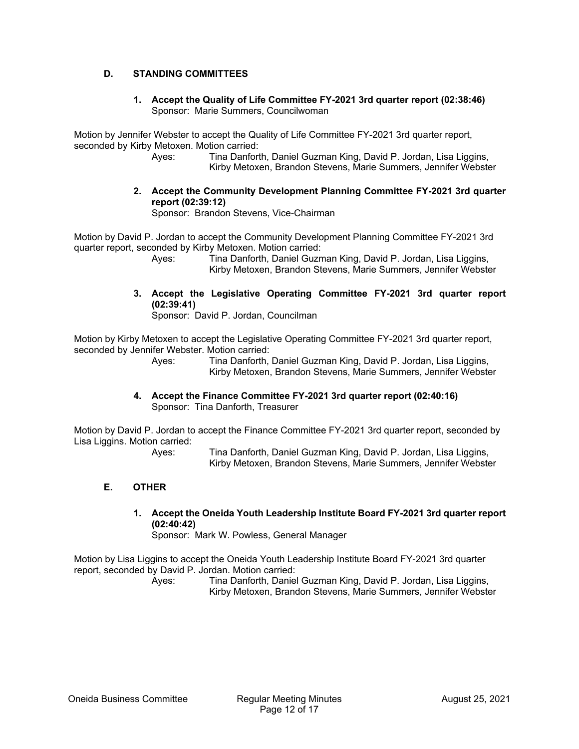# **D. STANDING COMMITTEES**

#### **1. Accept the Quality of Life Committee FY-2021 3rd quarter report (02:38:46)**  Sponsor: Marie Summers, Councilwoman

Motion by Jennifer Webster to accept the Quality of Life Committee FY-2021 3rd quarter report, seconded by Kirby Metoxen. Motion carried:

 Ayes: Tina Danforth, Daniel Guzman King, David P. Jordan, Lisa Liggins, Kirby Metoxen, Brandon Stevens, Marie Summers, Jennifer Webster

**2. Accept the Community Development Planning Committee FY-2021 3rd quarter report (02:39:12)**  Sponsor: Brandon Stevens, Vice-Chairman

Motion by David P. Jordan to accept the Community Development Planning Committee FY-2021 3rd quarter report, seconded by Kirby Metoxen. Motion carried:

 Ayes: Tina Danforth, Daniel Guzman King, David P. Jordan, Lisa Liggins, Kirby Metoxen, Brandon Stevens, Marie Summers, Jennifer Webster

**3. Accept the Legislative Operating Committee FY-2021 3rd quarter report (02:39:41)** 

Sponsor: David P. Jordan, Councilman

Motion by Kirby Metoxen to accept the Legislative Operating Committee FY-2021 3rd quarter report, seconded by Jennifer Webster. Motion carried:

 Ayes: Tina Danforth, Daniel Guzman King, David P. Jordan, Lisa Liggins, Kirby Metoxen, Brandon Stevens, Marie Summers, Jennifer Webster

**4. Accept the Finance Committee FY-2021 3rd quarter report (02:40:16)**  Sponsor: Tina Danforth, Treasurer

Motion by David P. Jordan to accept the Finance Committee FY-2021 3rd quarter report, seconded by Lisa Liggins. Motion carried:

 Ayes: Tina Danforth, Daniel Guzman King, David P. Jordan, Lisa Liggins, Kirby Metoxen, Brandon Stevens, Marie Summers, Jennifer Webster

# **E. OTHER**

**1. Accept the Oneida Youth Leadership Institute Board FY-2021 3rd quarter report (02:40:42)** 

Sponsor: Mark W. Powless, General Manager

Motion by Lisa Liggins to accept the Oneida Youth Leadership Institute Board FY-2021 3rd quarter report, seconded by David P. Jordan. Motion carried: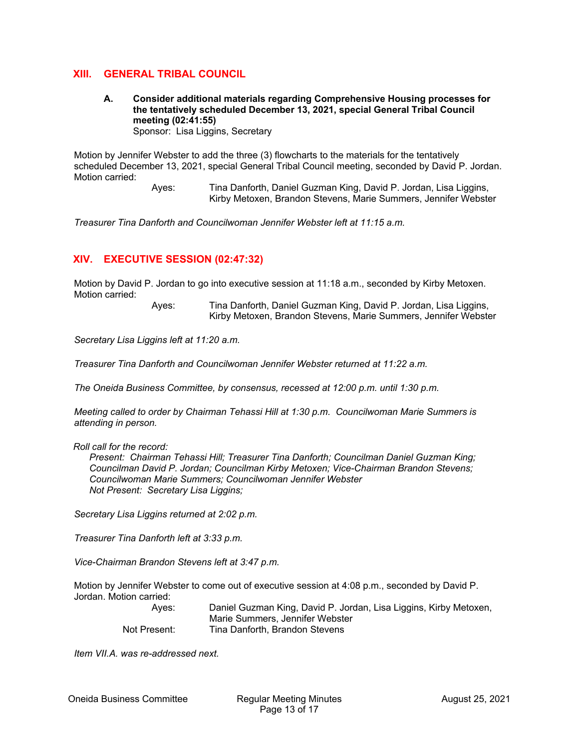# **XIII. GENERAL TRIBAL COUNCIL**

**A. Consider additional materials regarding Comprehensive Housing processes for the tentatively scheduled December 13, 2021, special General Tribal Council meeting (02:41:55)**  Sponsor: Lisa Liggins, Secretary

Motion by Jennifer Webster to add the three (3) flowcharts to the materials for the tentatively scheduled December 13, 2021, special General Tribal Council meeting, seconded by David P. Jordan. Motion carried:

> Ayes: Tina Danforth, Daniel Guzman King, David P. Jordan, Lisa Liggins, Kirby Metoxen, Brandon Stevens, Marie Summers, Jennifer Webster

*Treasurer Tina Danforth and Councilwoman Jennifer Webster left at 11:15 a.m.* 

# **XIV. EXECUTIVE SESSION (02:47:32)**

Motion by David P. Jordan to go into executive session at 11:18 a.m., seconded by Kirby Metoxen. Motion carried:

> Ayes: Tina Danforth, Daniel Guzman King, David P. Jordan, Lisa Liggins, Kirby Metoxen, Brandon Stevens, Marie Summers, Jennifer Webster

*Secretary Lisa Liggins left at 11:20 a.m.* 

*Treasurer Tina Danforth and Councilwoman Jennifer Webster returned at 11:22 a.m.* 

*The Oneida Business Committee, by consensus, recessed at 12:00 p.m. until 1:30 p.m.* 

*Meeting called to order by Chairman Tehassi Hill at 1:30 p.m. Councilwoman Marie Summers is attending in person.* 

*Roll call for the record:* 

*Present: Chairman Tehassi Hill; Treasurer Tina Danforth; Councilman Daniel Guzman King; Councilman David P. Jordan; Councilman Kirby Metoxen; Vice-Chairman Brandon Stevens; Councilwoman Marie Summers; Councilwoman Jennifer Webster Not Present: Secretary Lisa Liggins;* 

*Secretary Lisa Liggins returned at 2:02 p.m.* 

*Treasurer Tina Danforth left at 3:33 p.m.* 

*Vice-Chairman Brandon Stevens left at 3:47 p.m.* 

Motion by Jennifer Webster to come out of executive session at 4:08 p.m., seconded by David P. Jordan. Motion carried:

| Ayes:        | Daniel Guzman King, David P. Jordan, Lisa Liggins, Kirby Metoxen, |
|--------------|-------------------------------------------------------------------|
|              | Marie Summers, Jennifer Webster                                   |
| Not Present: | Tina Danforth, Brandon Stevens                                    |

*Item VII.A. was re-addressed next.*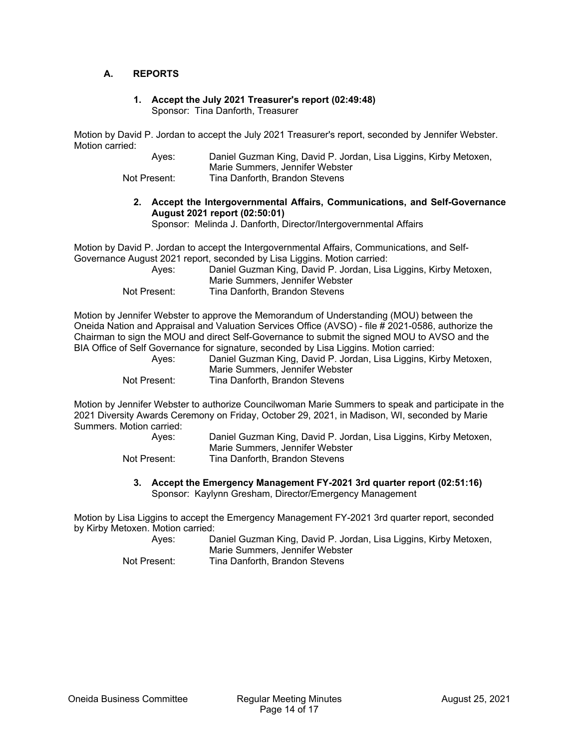#### **A. REPORTS**

#### **1. Accept the July 2021 Treasurer's report (02:49:48)**  Sponsor: Tina Danforth, Treasurer

Motion by David P. Jordan to accept the July 2021 Treasurer's report, seconded by Jennifer Webster. Motion carried:

| Aves:        | Daniel Guzman King, David P. Jordan, Lisa Liggins, Kirby Metoxen, |
|--------------|-------------------------------------------------------------------|
|              | Marie Summers. Jennifer Webster                                   |
| Not Present: | Tina Danforth, Brandon Stevens                                    |

**2. Accept the Intergovernmental Affairs, Communications, and Self-Governance August 2021 report (02:50:01)** 

Sponsor: Melinda J. Danforth, Director/Intergovernmental Affairs

Motion by David P. Jordan to accept the Intergovernmental Affairs, Communications, and Self-Governance August 2021 report, seconded by Lisa Liggins. Motion carried:

| Aves:        | Daniel Guzman King, David P. Jordan, Lisa Liggins, Kirby Metoxen,<br>Marie Summers, Jennifer Webster |
|--------------|------------------------------------------------------------------------------------------------------|
| Not Present: | Tina Danforth, Brandon Stevens                                                                       |

Motion by Jennifer Webster to approve the Memorandum of Understanding (MOU) between the Oneida Nation and Appraisal and Valuation Services Office (AVSO) - file # 2021-0586, authorize the Chairman to sign the MOU and direct Self-Governance to submit the signed MOU to AVSO and the BIA Office of Self Governance for signature, seconded by Lisa Liggins. Motion carried:

| Aves:        | Daniel Guzman King, David P. Jordan, Lisa Liggins, Kirby Metoxen, |
|--------------|-------------------------------------------------------------------|
|              | Marie Summers, Jennifer Webster                                   |
| Not Present: | Tina Danforth, Brandon Stevens                                    |

Motion by Jennifer Webster to authorize Councilwoman Marie Summers to speak and participate in the 2021 Diversity Awards Ceremony on Friday, October 29, 2021, in Madison, WI, seconded by Marie Summers. Motion carried:

| Aves:        | Daniel Guzman King, David P. Jordan, Lisa Liggins, Kirby Metoxen, |
|--------------|-------------------------------------------------------------------|
|              | Marie Summers, Jennifer Webster                                   |
| Not Present: | Tina Danforth, Brandon Stevens                                    |

**3. Accept the Emergency Management FY-2021 3rd quarter report (02:51:16)**  Sponsor: Kaylynn Gresham, Director/Emergency Management

Motion by Lisa Liggins to accept the Emergency Management FY-2021 3rd quarter report, seconded by Kirby Metoxen. Motion carried:

 Ayes: Daniel Guzman King, David P. Jordan, Lisa Liggins, Kirby Metoxen, Marie Summers, Jennifer Webster Not Present: Tina Danforth, Brandon Stevens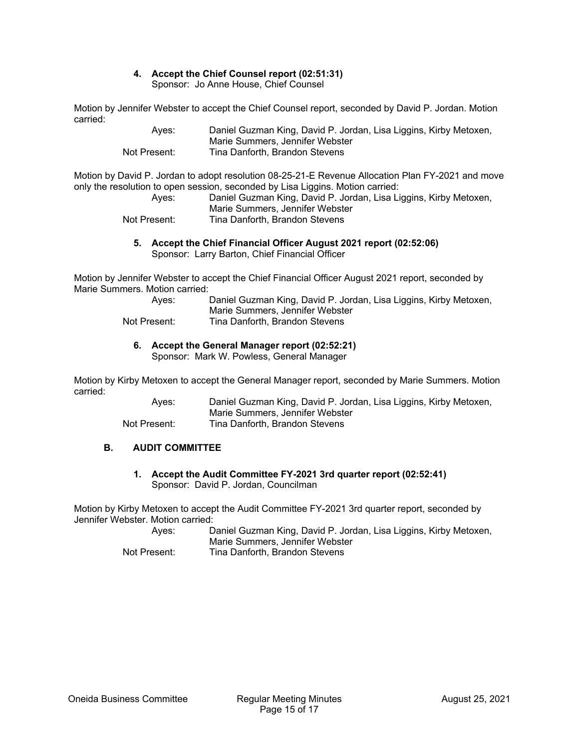# **4. Accept the Chief Counsel report (02:51:31)**

Sponsor: Jo Anne House, Chief Counsel

Motion by Jennifer Webster to accept the Chief Counsel report, seconded by David P. Jordan. Motion carried:

| Aves:        | Daniel Guzman King, David P. Jordan, Lisa Liggins, Kirby Metoxen, |
|--------------|-------------------------------------------------------------------|
|              | Marie Summers, Jennifer Webster                                   |
| Not Present: | Tina Danforth, Brandon Stevens                                    |

Motion by David P. Jordan to adopt resolution 08-25-21-E Revenue Allocation Plan FY-2021 and move only the resolution to open session, seconded by Lisa Liggins. Motion carried:

| Aves:        | Daniel Guzman King, David P. Jordan, Lisa Liggins, Kirby Metoxen, |
|--------------|-------------------------------------------------------------------|
|              | Marie Summers, Jennifer Webster                                   |
| Not Present: | Tina Danforth, Brandon Stevens                                    |

#### **5. Accept the Chief Financial Officer August 2021 report (02:52:06)**  Sponsor: Larry Barton, Chief Financial Officer

Motion by Jennifer Webster to accept the Chief Financial Officer August 2021 report, seconded by Marie Summers. Motion carried:

| Aves:        | Daniel Guzman King, David P. Jordan, Lisa Liggins, Kirby Metoxen, |
|--------------|-------------------------------------------------------------------|
|              | Marie Summers, Jennifer Webster                                   |
| Not Present: | Tina Danforth, Brandon Stevens                                    |

# **6. Accept the General Manager report (02:52:21)**

Sponsor: Mark W. Powless, General Manager

Motion by Kirby Metoxen to accept the General Manager report, seconded by Marie Summers. Motion carried:

| Ayes:        | Daniel Guzman King, David P. Jordan, Lisa Liggins, Kirby Metoxen, |
|--------------|-------------------------------------------------------------------|
|              | Marie Summers, Jennifer Webster                                   |
| Not Present: | Tina Danforth, Brandon Stevens                                    |

# **B. AUDIT COMMITTEE**

**1. Accept the Audit Committee FY-2021 3rd quarter report (02:52:41)**  Sponsor: David P. Jordan, Councilman

Motion by Kirby Metoxen to accept the Audit Committee FY-2021 3rd quarter report, seconded by Jennifer Webster. Motion carried:

| Aves:        | Daniel Guzman King, David P. Jordan, Lisa Liggins, Kirby Metoxen, |
|--------------|-------------------------------------------------------------------|
|              | Marie Summers, Jennifer Webster                                   |
| Not Present: | Tina Danforth, Brandon Stevens                                    |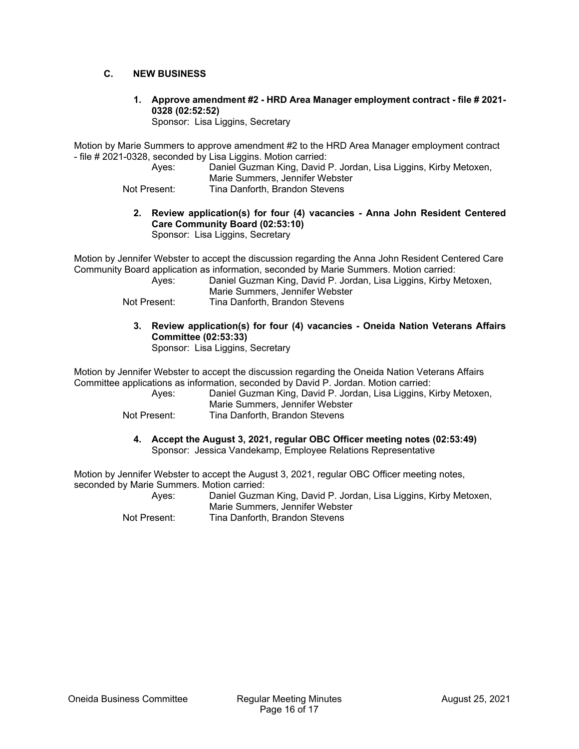#### **C. NEW BUSINESS**

**1. Approve amendment #2 - HRD Area Manager employment contract - file # 2021- 0328 (02:52:52)** 

Sponsor: Lisa Liggins, Secretary

Motion by Marie Summers to approve amendment #2 to the HRD Area Manager employment contract - file # 2021-0328, seconded by Lisa Liggins. Motion carried:

 Ayes: Daniel Guzman King, David P. Jordan, Lisa Liggins, Kirby Metoxen, Marie Summers, Jennifer Webster

- Not Present: Tina Danforth, Brandon Stevens
	- **2. Review application(s) for four (4) vacancies Anna John Resident Centered Care Community Board (02:53:10)** 
		- Sponsor: Lisa Liggins, Secretary

Motion by Jennifer Webster to accept the discussion regarding the Anna John Resident Centered Care Community Board application as information, seconded by Marie Summers. Motion carried:

| Aves:        | Daniel Guzman King, David P. Jordan, Lisa Liggins, Kirby Metoxen, |
|--------------|-------------------------------------------------------------------|
|              | Marie Summers, Jennifer Webster                                   |
| Not Present: | Tina Danforth, Brandon Stevens                                    |

**3. Review application(s) for four (4) vacancies - Oneida Nation Veterans Affairs Committee (02:53:33)** 

Sponsor: Lisa Liggins, Secretary

Motion by Jennifer Webster to accept the discussion regarding the Oneida Nation Veterans Affairs Committee applications as information, seconded by David P. Jordan. Motion carried:

 Ayes: Daniel Guzman King, David P. Jordan, Lisa Liggins, Kirby Metoxen, Marie Summers, Jennifer Webster Not Present: Tina Danforth, Brandon Stevens

**4. Accept the August 3, 2021, regular OBC Officer meeting notes (02:53:49)**  Sponsor: Jessica Vandekamp, Employee Relations Representative

Motion by Jennifer Webster to accept the August 3, 2021, regular OBC Officer meeting notes, seconded by Marie Summers. Motion carried:

 Ayes: Daniel Guzman King, David P. Jordan, Lisa Liggins, Kirby Metoxen, Marie Summers, Jennifer Webster Not Present: Tina Danforth, Brandon Stevens